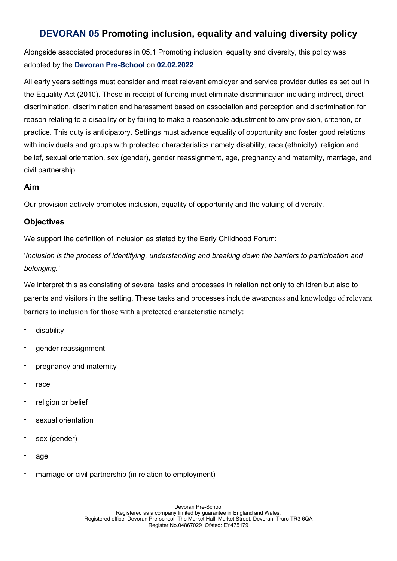# DEVORAN 05 Promoting inclusion, equality and valuing diversity policy

Alongside associated procedures in 05.1 Promoting inclusion, equality and diversity, this policy was adopted by the Devoran Pre-School on 02.02.2022

All early years settings must consider and meet relevant employer and service provider duties as set out in the Equality Act (2010). Those in receipt of funding must eliminate discrimination including indirect, direct discrimination, discrimination and harassment based on association and perception and discrimination for reason relating to a disability or by failing to make a reasonable adjustment to any provision, criterion, or practice. This duty is anticipatory. Settings must advance equality of opportunity and foster good relations with individuals and groups with protected characteristics namely disability, race (ethnicity), religion and belief, sexual orientation, sex (gender), gender reassignment, age, pregnancy and maternity, marriage, and civil partnership.

### Aim

Our provision actively promotes inclusion, equality of opportunity and the valuing of diversity.

## **Objectives**

We support the definition of inclusion as stated by the Early Childhood Forum:

'Inclusion is the process of identifying, understanding and breaking down the barriers to participation and belonging.'

We interpret this as consisting of several tasks and processes in relation not only to children but also to parents and visitors in the setting. These tasks and processes include awareness and knowledge of relevant barriers to inclusion for those with a protected characteristic namely:

- disability
- gender reassignment
- pregnancy and maternity
- race
- religion or belief
- sexual orientation
- sex (gender)
- age
- marriage or civil partnership (in relation to employment)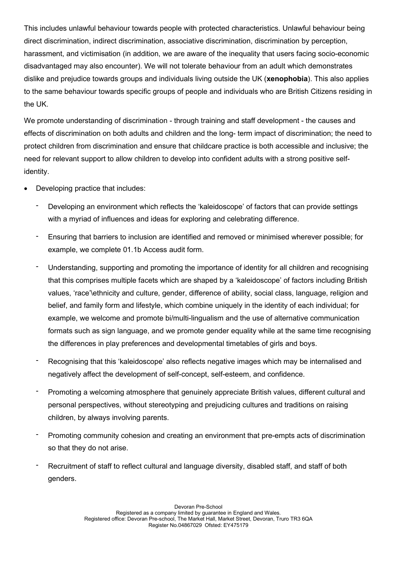This includes unlawful behaviour towards people with protected characteristics. Unlawful behaviour being direct discrimination, indirect discrimination, associative discrimination, discrimination by perception, harassment, and victimisation (in addition, we are aware of the inequality that users facing socio-economic disadvantaged may also encounter). We will not tolerate behaviour from an adult which demonstrates dislike and prejudice towards groups and individuals living outside the UK (**xenophobia**). This also applies to the same behaviour towards specific groups of people and individuals who are British Citizens residing in the UK.

We promote understanding of discrimination - through training and staff development - the causes and effects of discrimination on both adults and children and the long- term impact of discrimination; the need to protect children from discrimination and ensure that childcare practice is both accessible and inclusive; the need for relevant support to allow children to develop into confident adults with a strong positive selfidentity.

- Developing practice that includes:
	- Developing an environment which reflects the 'kaleidoscope' of factors that can provide settings with a myriad of influences and ideas for exploring and celebrating difference.
	- Ensuring that barriers to inclusion are identified and removed or minimised wherever possible; for example, we complete 01.1b Access audit form.
	- Understanding, supporting and promoting the importance of identity for all children and recognising that this comprises multiple facets which are shaped by a 'kaleidoscope' of factors including British values, 'race'\ethnicity and culture, gender, difference of ability, social class, language, religion and belief, and family form and lifestyle, which combine uniquely in the identity of each individual; for example, we welcome and promote bi/multi-lingualism and the use of alternative communication formats such as sign language, and we promote gender equality while at the same time recognising the differences in play preferences and developmental timetables of girls and boys.
	- Recognising that this 'kaleidoscope' also reflects negative images which may be internalised and negatively affect the development of self-concept, self-esteem, and confidence.
	- Promoting a welcoming atmosphere that genuinely appreciate British values, different cultural and personal perspectives, without stereotyping and prejudicing cultures and traditions on raising children, by always involving parents.
	- Promoting community cohesion and creating an environment that pre-empts acts of discrimination so that they do not arise.
	- Recruitment of staff to reflect cultural and language diversity, disabled staff, and staff of both genders.